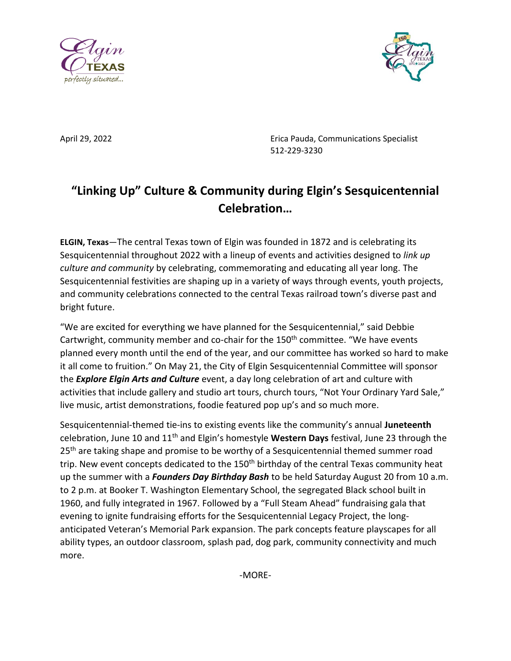



April 29, 2022 Erica Pauda, Communications Specialist 512-229-3230

## **"Linking Up" Culture & Community during Elgin's Sesquicentennial Celebration…**

**ELGIN, Texas**—The central Texas town of Elgin was founded in 1872 and is celebrating its Sesquicentennial throughout 2022 with a lineup of events and activities designed to *link up culture and community* by celebrating, commemorating and educating all year long. The Sesquicentennial festivities are shaping up in a variety of ways through events, youth projects, and community celebrations connected to the central Texas railroad town's diverse past and bright future.

"We are excited for everything we have planned for the Sesquicentennial," said Debbie Cartwright, community member and co-chair for the 150<sup>th</sup> committee. "We have events planned every month until the end of the year, and our committee has worked so hard to make it all come to fruition." On May 21, the City of Elgin Sesquicentennial Committee will sponsor the *Explore Elgin Arts and Culture* event, a day long celebration of art and culture with activities that include gallery and studio art tours, church tours, "Not Your Ordinary Yard Sale," live music, artist demonstrations, foodie featured pop up's and so much more.

Sesquicentennial-themed tie-ins to existing events like the community's annual **Juneteenth** celebration, June 10 and 11th and Elgin's homestyle **Western Days** festival, June 23 through the 25<sup>th</sup> are taking shape and promise to be worthy of a Sesquicentennial themed summer road trip. New event concepts dedicated to the 150<sup>th</sup> birthday of the central Texas community heat up the summer with a *Founders Day Birthday Bash* to be held Saturday August 20 from 10 a.m. to 2 p.m. at Booker T. Washington Elementary School, the segregated Black school built in 1960, and fully integrated in 1967. Followed by a "Full Steam Ahead" fundraising gala that evening to ignite fundraising efforts for the Sesquicentennial Legacy Project, the longanticipated Veteran's Memorial Park expansion. The park concepts feature playscapes for all ability types, an outdoor classroom, splash pad, dog park, community connectivity and much more.

-MORE-